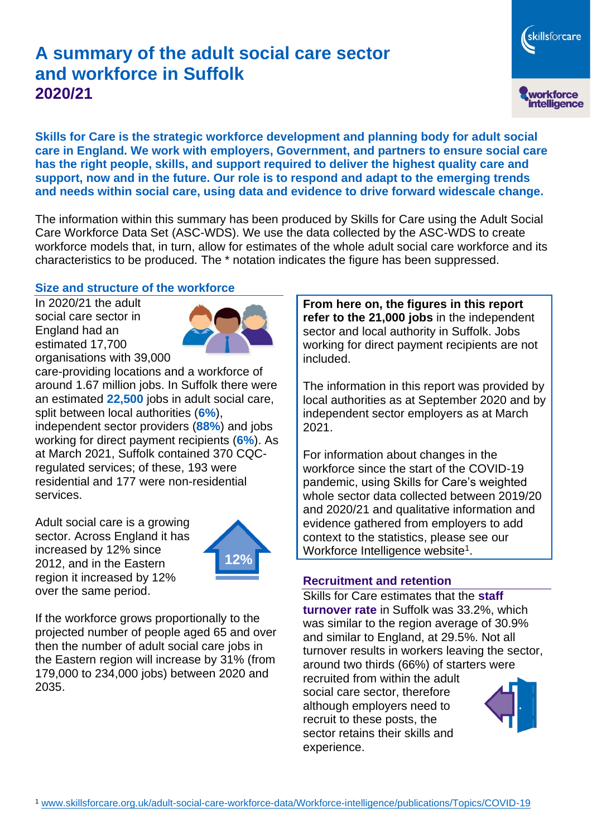# **A summary of the adult social care sector and workforce in Suffolk 2020/21**

skillsforcare workforce<br>intelligence

**Skills for Care is the strategic workforce development and planning body for adult social care in England. We work with employers, Government, and partners to ensure social care has the right people, skills, and support required to deliver the highest quality care and support, now and in the future. Our role is to respond and adapt to the emerging trends and needs within social care, using data and evidence to drive forward widescale change.**

The information within this summary has been produced by Skills for Care using the Adult Social Care Workforce Data Set (ASC-WDS). We use the data collected by the ASC-WDS to create workforce models that, in turn, allow for estimates of the whole adult social care workforce and its characteristics to be produced. The \* notation indicates the figure has been suppressed.

#### **Size and structure of the workforce**

In 2020/21 the adult social care sector in England had an estimated 17,700 organisations with 39,000



care-providing locations and a workforce of around 1.67 million jobs. In Suffolk there were an estimated **22,500** jobs in adult social care, split between local authorities (**6%**), independent sector providers (**88%**) and jobs working for direct payment recipients (**6%**). As at March 2021, Suffolk contained 370 CQCregulated services; of these, 193 were residential and 177 were non-residential services.

Adult social care is a growing sector. Across England it has increased by 12% since 2012, and in the Eastern region it increased by 12% over the same period.



If the workforce grows proportionally to the projected number of people aged 65 and over then the number of adult social care jobs in the Eastern region will increase by 31% (from 179,000 to 234,000 jobs) between 2020 and 2035.

**From here on, the figures in this report refer to the 21,000 jobs** in the independent sector and local authority in Suffolk. Jobs working for direct payment recipients are not included.

The information in this report was provided by local authorities as at September 2020 and by independent sector employers as at March 2021.

For information about changes in the workforce since the start of the COVID-19 pandemic, using Skills for Care's weighted whole sector data collected between 2019/20 and 2020/21 and qualitative information and evidence gathered from employers to add context to the statistics, please see our Workforce Intelligence website<sup>1</sup>.

#### **Recruitment and retention**

Skills for Care estimates that the **staff turnover rate** in Suffolk was 33.2%, which was similar to the region average of 30.9% and similar to England, at 29.5%. Not all turnover results in workers leaving the sector, around two thirds (66%) of starters were recruited from within the adult social care sector, therefore although employers need to recruit to these posts, the sector retains their skills and experience.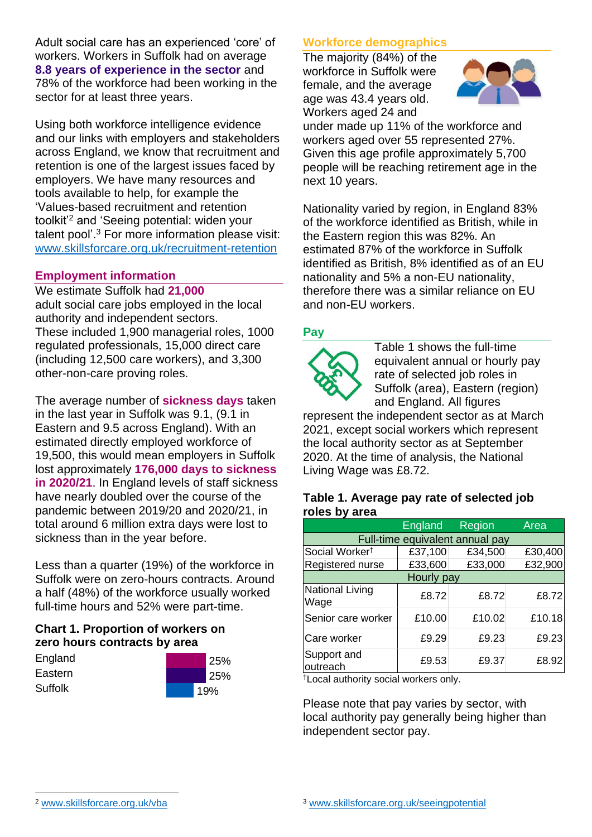Adult social care has an experienced 'core' of workers. Workers in Suffolk had on average **8.8 years of experience in the sector** and 78% of the workforce had been working in the sector for at least three years.

Using both workforce intelligence evidence and our links with employers and stakeholders across England, we know that recruitment and retention is one of the largest issues faced by employers. We have many resources and tools available to help, for example the 'Values-based recruitment and retention toolkit'<sup>2</sup> and 'Seeing potential: widen your talent pool'. <sup>3</sup> For more information please visit: [www.skillsforcare.org.uk/recruitment-retention](http://www.skillsforcare.org.uk/recruitment-retention)

### **Employment information**

We estimate Suffolk had **21,000** adult social care jobs employed in the local authority and independent sectors. These included 1,900 managerial roles, 1000 regulated professionals, 15,000 direct care (including 12,500 care workers), and 3,300 other-non-care proving roles.

The average number of **sickness days** taken in the last year in Suffolk was 9.1, (9.1 in Eastern and 9.5 across England). With an estimated directly employed workforce of 19,500, this would mean employers in Suffolk lost approximately **176,000 days to sickness in 2020/21**. In England levels of staff sickness have nearly doubled over the course of the pandemic between 2019/20 and 2020/21, in total around 6 million extra days were lost to sickness than in the year before.

Less than a quarter (19%) of the workforce in Suffolk were on zero-hours contracts. Around a half (48%) of the workforce usually worked full-time hours and 52% were part-time.

### **Chart 1. Proportion of workers on zero hours contracts by area**

| England |  |
|---------|--|
| Eastern |  |
| Suffolk |  |



### **Workforce demographics**

The majority (84%) of the workforce in Suffolk were female, and the average age was 43.4 years old. Workers aged 24 and



under made up 11% of the workforce and workers aged over 55 represented 27%. Given this age profile approximately 5,700 people will be reaching retirement age in the next 10 years.

Nationality varied by region, in England 83% of the workforce identified as British, while in the Eastern region this was 82%. An estimated 87% of the workforce in Suffolk identified as British, 8% identified as of an EU nationality and 5% a non-EU nationality, therefore there was a similar reliance on EU and non-EU workers.

### **Pay**



Table 1 shows the full-time equivalent annual or hourly pay rate of selected job roles in Suffolk (area), Eastern (region) and England. All figures

represent the independent sector as at March 2021, except social workers which represent the local authority sector as at September 2020. At the time of analysis, the National Living Wage was £8.72.

#### **Table 1. Average pay rate of selected job roles by area**

|                                 | <b>England</b> | <b>Region</b> | Area    |  |
|---------------------------------|----------------|---------------|---------|--|
| Full-time equivalent annual pay |                |               |         |  |
| Social Worker <sup>t</sup>      | £37,100        | £34,500       | £30,400 |  |
| Registered nurse                | £33,600        | £33,000       | £32,900 |  |
| Hourly pay                      |                |               |         |  |
| National Living<br>Wage         | £8.72          | £8.72         | £8.72   |  |
| Senior care worker              | £10.00         | £10.02        | £10.18  |  |
| Care worker                     | £9.29          | £9.23         | £9.23   |  |
| Support and<br>outreach         | £9.53          | £9.37         | £8.92   |  |

†Local authority social workers only.

Please note that pay varies by sector, with local authority pay generally being higher than independent sector pay.

[www.skillsforcare.org.uk/vba](http://www.skillsforcare.org.uk/vba)